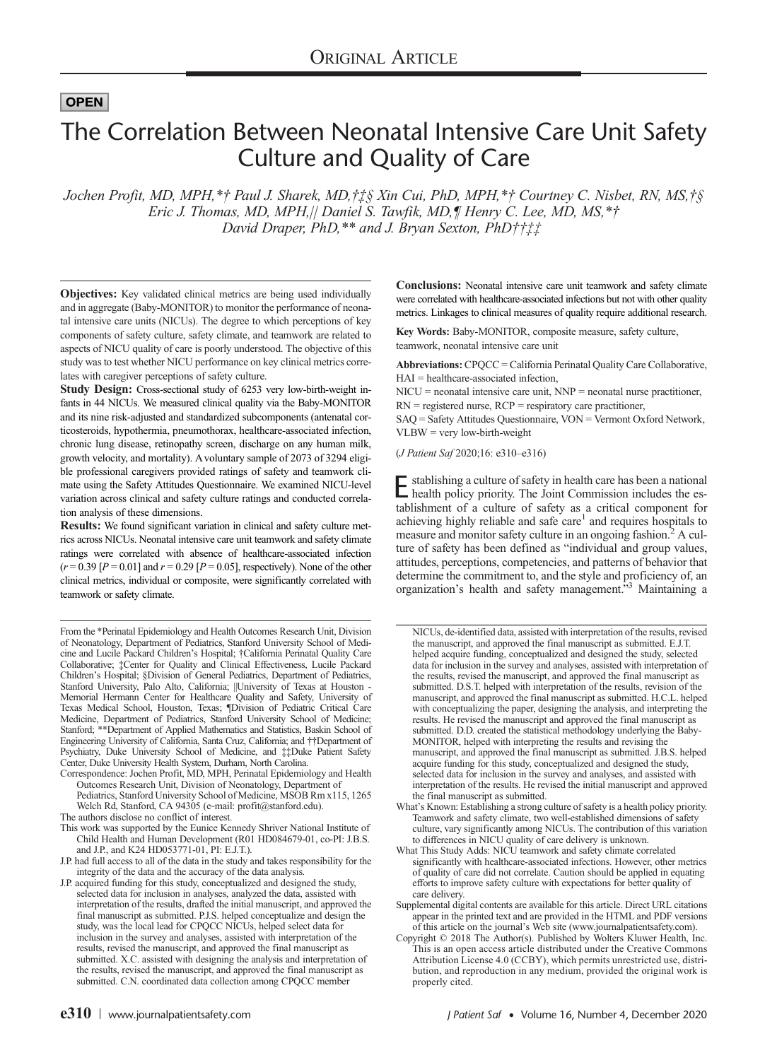## **OPEN**

# The Correlation Between Neonatal Intensive Care Unit Safety Culture and Quality of Care

Jochen Profit, MD, MPH,\*† Paul J. Sharek, MD,†‡§ Xin Cui, PhD, MPH,\*† Courtney C. Nisbet, RN, MS,†§ Eric J. Thomas, MD, MPH,|| Daniel S. Tawfik, MD,¶ Henry C. Lee, MD, MS,\*† David Draper, PhD,\*\* and J. Bryan Sexton, PhD††‡‡

Objectives: Key validated clinical metrics are being used individually and in aggregate (Baby-MONITOR) to monitor the performance of neonatal intensive care units (NICUs). The degree to which perceptions of key components of safety culture, safety climate, and teamwork are related to aspects of NICU quality of care is poorly understood. The objective of this study was to test whether NICU performance on key clinical metrics correlates with caregiver perceptions of safety culture.

Study Design: Cross-sectional study of 6253 very low-birth-weight infants in 44 NICUs. We measured clinical quality via the Baby-MONITOR and its nine risk-adjusted and standardized subcomponents (antenatal corticosteroids, hypothermia, pneumothorax, healthcare-associated infection, chronic lung disease, retinopathy screen, discharge on any human milk, growth velocity, and mortality). A voluntary sample of 2073 of 3294 eligible professional caregivers provided ratings of safety and teamwork climate using the Safety Attitudes Questionnaire. We examined NICU-level variation across clinical and safety culture ratings and conducted correlation analysis of these dimensions.

Results: We found significant variation in clinical and safety culture metrics across NICUs. Neonatal intensive care unit teamwork and safety climate ratings were correlated with absence of healthcare-associated infection  $(r = 0.39 [P = 0.01]$  and  $r = 0.29 [P = 0.05]$ , respectively). None of the other clinical metrics, individual or composite, were significantly correlated with teamwork or safety climate.

From the \*Perinatal Epidemiology and Health Outcomes Research Unit, Division of Neonatology, Department of Pediatrics, Stanford University School of Medicine and Lucile Packard Children's Hospital; †California Perinatal Quality Care Collaborative; ‡Center for Quality and Clinical Effectiveness, Lucile Packard Children's Hospital; §Division of General Pediatrics, Department of Pediatrics, Stanford University, Palo Alto, California; ||University of Texas at Houston - Memorial Hermann Center for Healthcare Quality and Safety, University of Texas Medical School, Houston, Texas; ¶Division of Pediatric Critical Care Medicine, Department of Pediatrics, Stanford University School of Medicine; Stanford; \*\*Department of Applied Mathematics and Statistics, Baskin School of Engineering University of California, Santa Cruz, California; and ††Department of Psychiatry, Duke University School of Medicine, and ‡‡Duke Patient Safety Center, Duke University Health System, Durham, North Carolina.

- Correspondence: Jochen Profit, MD, MPH, Perinatal Epidemiology and Health Outcomes Research Unit, Division of Neonatology, Department of Pediatrics, Stanford University School of Medicine, MSOB Rm x115, 1265 Welch Rd, Stanford, CA 94305 (e‐mail: [profit@stanford.edu](mailto:profit@stanford.edu)).
- The authors disclose no conflict of interest.
- This work was supported by the Eunice Kennedy Shriver National Institute of Child Health and Human Development (R01 HD084679-01, co-PI: J.B.S. and J.P., and K24 HD053771-01, PI: E.J.T.).
- J.P. had full access to all of the data in the study and takes responsibility for the integrity of the data and the accuracy of the data analysis.
- J.P. acquired funding for this study, conceptualized and designed the study, selected data for inclusion in analyses, analyzed the data, assisted with interpretation of the results, drafted the initial manuscript, and approved the final manuscript as submitted. P.J.S. helped conceptualize and design the study, was the local lead for CPQCC NICUs, helped select data for inclusion in the survey and analyses, assisted with interpretation of the results, revised the manuscript, and approved the final manuscript as submitted. X.C. assisted with designing the analysis and interpretation of the results, revised the manuscript, and approved the final manuscript as submitted. C.N. coordinated data collection among CPQCC member

Conclusions: Neonatal intensive care unit teamwork and safety climate were correlated with healthcare-associated infections but not with other quality metrics. Linkages to clinical measures of quality require additional research.

Key Words: Baby-MONITOR, composite measure, safety culture, teamwork, neonatal intensive care unit

Abbreviations: CPQCC = California Perinatal Quality Care Collaborative, HAI = healthcare-associated infection,

NICU = neonatal intensive care unit, NNP = neonatal nurse practitioner,

 $RN =$  registered nurse,  $RCP =$  respiratory care practitioner,

SAQ = Safety Attitudes Questionnaire, VON = Vermont Oxford Network, VLBW = very low-birth-weight

(J Patient Saf 2020;16: e310–e316)

Establishing a culture of safety in health care has been a national<br>health policy priority. The Joint Commission includes the establishment of a culture of safety as a critical component for achieving highly reliable and safe  $care<sup>1</sup>$  and requires hospitals to measure and monitor safety culture in an ongoing fashion.<sup>2</sup> A culture of safety has been defined as "individual and group values, attitudes, perceptions, competencies, and patterns of behavior that determine the commitment to, and the style and proficiency of, an organization's health and safety management."<sup>3</sup> Maintaining a

NICUs, de-identified data, assisted with interpretation of the results, revised the manuscript, and approved the final manuscript as submitted. E.J.T. helped acquire funding, conceptualized and designed the study, selected data for inclusion in the survey and analyses, assisted with interpretation of the results, revised the manuscript, and approved the final manuscript as submitted. D.S.T. helped with interpretation of the results, revision of the manuscript, and approved the final manuscript as submitted. H.C.L. helped with conceptualizing the paper, designing the analysis, and interpreting the results. He revised the manuscript and approved the final manuscript as submitted. D.D. created the statistical methodology underlying the Baby-MONITOR, helped with interpreting the results and revising the manuscript, and approved the final manuscript as submitted. J.B.S. helped acquire funding for this study, conceptualized and designed the study, selected data for inclusion in the survey and analyses, and assisted with interpretation of the results. He revised the initial manuscript and approved the final manuscript as submitted.

What's Known: Establishing a strong culture of safety is a health policy priority. Teamwork and safety climate, two well-established dimensions of safety culture, vary significantly among NICUs. The contribution of this variation to differences in NICU quality of care delivery is unknown.

- What This Study Adds: NICU teamwork and safety climate correlated significantly with healthcare-associated infections. However, other metrics of quality of care did not correlate. Caution should be applied in equating efforts to improve safety culture with expectations for better quality of care delivery.
- Supplemental digital contents are available for this article. Direct URL citations appear in the printed text and are provided in the HTML and PDF versions of this article on the journal's Web site ([www.journalpatientsafety.com\)](http://creativecommons.org/licenses/by/4.0/).
- Copyright © 2018 The Author(s). Published by Wolters Kluwer Health, Inc. This is an open access article distributed under the [Creative Commons](http://creativecommons.org/licenses/by/4.0/) [Attribution License 4.0 \(CCBY\),](http://creativecommons.org/licenses/by/4.0/) which permits unrestricted use, distribution, and reproduction in any medium, provided the original work is properly cited.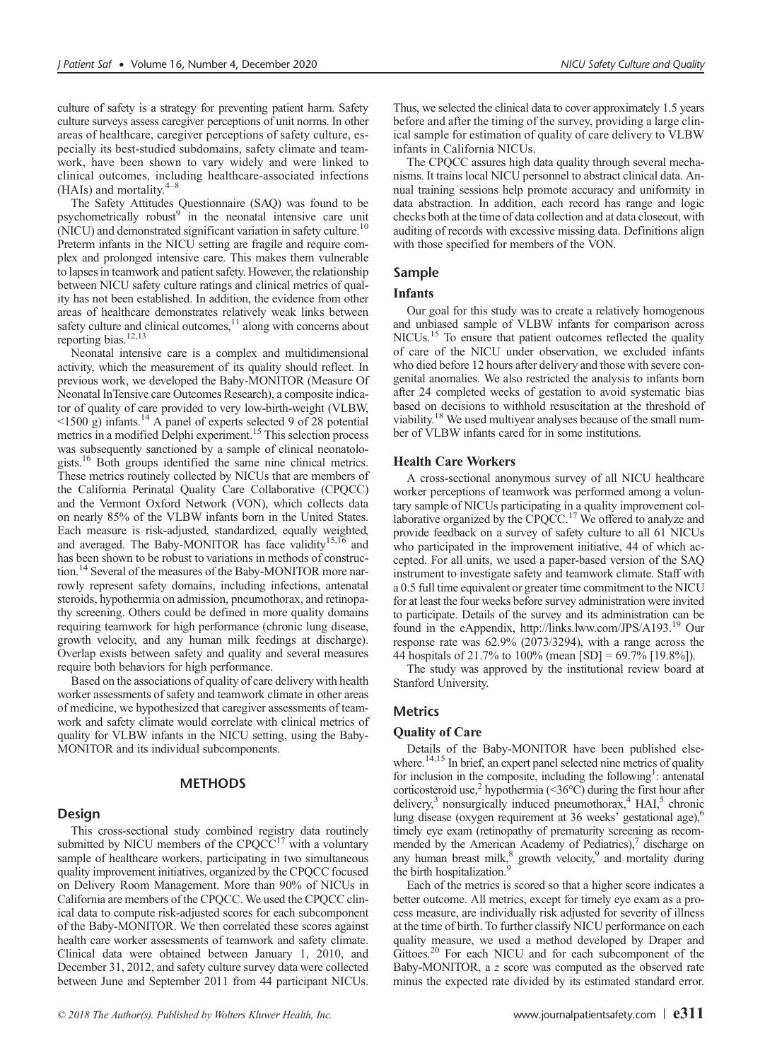culture of safety is a strategy for preventing patient harm. Safety culture surveys assess caregiver perceptions of unit norms. In other areas of healthcare, caregiver perceptions of safety culture, especially its best-studied subdomains, safety climate and teamwork, have been shown to vary widely and were linked to clinical outcomes, including healthcare-associated infections (HAIs) and mortality. $4-8$ 

The Safety Attitudes Questionnaire (SAQ) was found to be psychometrically robust<sup>9</sup> in the neonatal intensive care unit (NICU) and demonstrated significant variation in safety culture.<sup>10</sup> Preterm infants in the NICU setting are fragile and require complex and prolonged intensive care. This makes them vulnerable to lapses in teamwork and patient safety. However, the relationship between NICU safety culture ratings and clinical metrics of quality has not been established. In addition, the evidence from other areas of healthcare demonstrates relatively weak links between safety culture and clinical outcomes, $11$  along with concerns about reporting bias.<sup>12,13</sup>

Neonatal intensive care is a complex and multidimensional activity, which the measurement of its quality should reflect. In previous work, we developed the Baby-MONITOR (Measure Of Neonatal InTensive care Outcomes Research), a composite indicator of quality of care provided to very low-birth-weight (VLBW,  $\leq$ 1500 g) infants.<sup>14</sup> A panel of experts selected 9 of 28 potential metrics in a modified Delphi experiment.<sup>15</sup> This selection process was subsequently sanctioned by a sample of clinical neonatologists.16 Both groups identified the same nine clinical metrics. These metrics routinely collected by NICUs that are members of the California Perinatal Quality Care Collaborative (CPQCC) and the Vermont Oxford Network (VON), which collects data on nearly 85% of the VLBW infants born in the United States. Each measure is risk-adjusted, standardized, equally weighted, and averaged. The Baby-MONITOR has face validity<sup>15,16</sup> and has been shown to be robust to variations in methods of construction.<sup>14</sup> Several of the measures of the Baby-MONITOR more narrowly represent safety domains, including infections, antenatal steroids, hypothermia on admission, pneumothorax, and retinopathy screening. Others could be defined in more quality domains requiring teamwork for high performance (chronic lung disease, growth velocity, and any human milk feedings at discharge). Overlap exists between safety and quality and several measures require both behaviors for high performance.

Based on the associations of quality of care delivery with health worker assessments of safety and teamwork climate in other areas of medicine, we hypothesized that caregiver assessments of teamwork and safety climate would correlate with clinical metrics of quality for VLBW infants in the NICU setting, using the Baby-MONITOR and its individual subcomponents.

This cross-sectional study combined registry data routinely submitted by NICU members of the  $CPQCC<sup>17</sup>$  with a voluntary sample of healthcare workers, participating in two simultaneous quality improvement initiatives, organized by the CPQCC focused on Delivery Room Management. More than 90% of NICUs in California are members of the CPQCC. We used the CPQCC clinical data to compute risk-adjusted scores for each subcomponent of the Baby-MONITOR. We then correlated these scores against health care worker assessments of teamwork and safety climate. Clinical data were obtained between January 1, 2010, and December 31, 2012, and safety culture survey data were collected between June and September 2011 from 44 participant NICUs.

Thus, we selected the clinical data to cover approximately 1.5 years before and after the timing of the survey, providing a large clinical sample for estimation of quality of care delivery to VLBW infants in California NICUs.

The CPQCC assures high data quality through several mechanisms. It trains local NICU personnel to abstract clinical data. Annual training sessions help promote accuracy and uniformity in data abstraction. In addition, each record has range and logic checks both at the time of data collection and at data closeout, with auditing of records with excessive missing data. Definitions align with those specified for members of the VON.

## Sample Infants

Our goal for this study was to create a relatively homogenous and unbiased sample of VLBW infants for comparison across NICUs.<sup>15</sup> To ensure that patient outcomes reflected the quality of care of the NICU under observation, we excluded infants who died before 12 hours after delivery and those with severe congenital anomalies. We also restricted the analysis to infants born after 24 completed weeks of gestation to avoid systematic bias based on decisions to withhold resuscitation at the threshold of viability.18 We used multiyear analyses because of the small number of VLBW infants cared for in some institutions.

### Health Care Workers

A cross-sectional anonymous survey of all NICU healthcare worker perceptions of teamwork was performed among a voluntary sample of NICUs participating in a quality improvement collaborative organized by the CPOCC.<sup>17</sup> We offered to analyze and provide feedback on a survey of safety culture to all 61 NICUs who participated in the improvement initiative, 44 of which accepted. For all units, we used a paper-based version of the SAQ instrument to investigate safety and teamwork climate. Staff with a 0.5 full time equivalent or greater time commitment to the NICU for at least the four weeks before survey administration were invited to participate. Details of the survey and its administration can be found in the eAppendix,<http://links.lww.com/JPS/A193>.19 Our response rate was 62.9% (2073/3294), with a range across the 44 hospitals of 21.7% to 100% (mean [SD] = 69.7% [19.8%]).

The study was approved by the institutional review board at Stanford University.

### **Metrics**

## means<br>Quality of Care

Details of the Baby-MONITOR have been published elsewhere.<sup>14,15</sup> In brief, an expert panel selected nine metrics of quality for inclusion in the composite, including the following<sup>1</sup>: antenatal corticosteroid use,<sup>2</sup> hypothermia (<36°C) during the first hour after delivery, $3$  nonsurgically induced pneumothorax, $4$  HAI, $5$  chronic lung disease (oxygen requirement at 36 weeks' gestational age),<sup>6</sup> timely eye exam (retinopathy of prematurity screening as recommended by the American Academy of Pediatrics), $\frac{7}{7}$  discharge on any human breast milk,<sup>8</sup> growth velocity,<sup>9</sup> and mortality during the birth hospitalization.<sup>9</sup>

Each of the metrics is scored so that a higher score indicates a better outcome. All metrics, except for timely eye exam as a process measure, are individually risk adjusted for severity of illness at the time of birth. To further classify NICU performance on each quality measure, we used a method developed by Draper and Gittoes.<sup>20</sup> For each NICU and for each subcomponent of the Baby-MONITOR, a z score was computed as the observed rate minus the expected rate divided by its estimated standard error.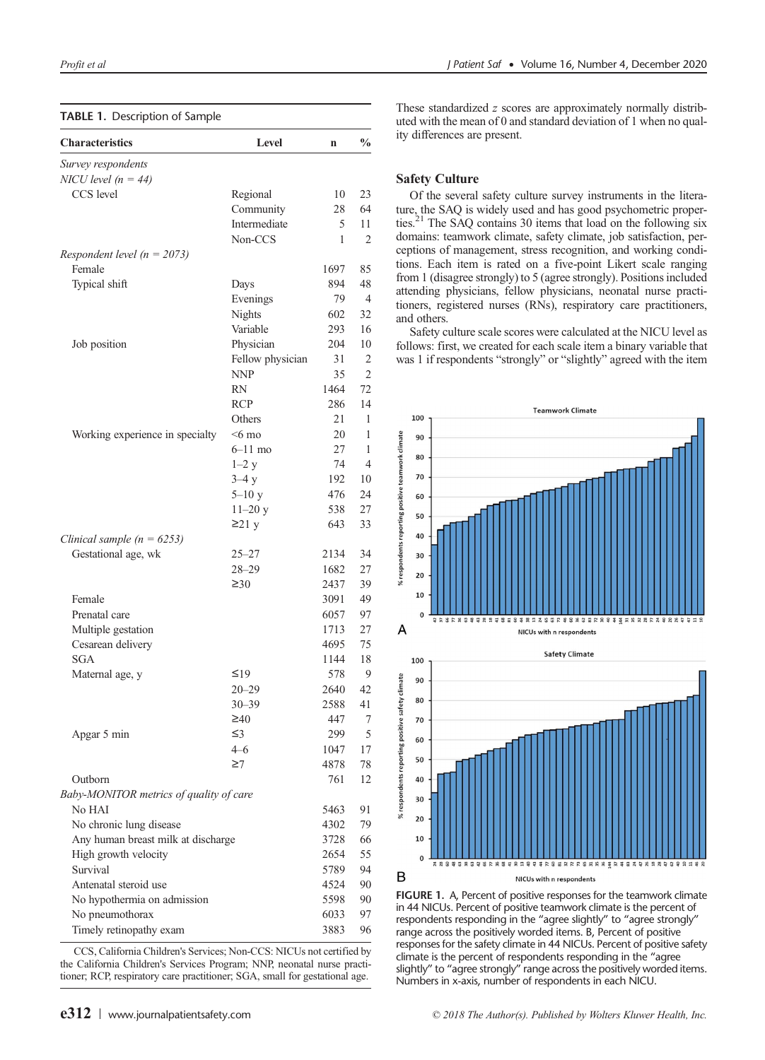| <b>Characteristics</b>                  | Level                   | n          | $\frac{0}{0}$ |
|-----------------------------------------|-------------------------|------------|---------------|
| Survey respondents                      |                         |            |               |
| $NICU$ level ( $n = 44$ )               |                         |            |               |
| CCS level                               | Regional                | 10         | 23            |
|                                         | Community               | 28         | 64            |
|                                         | Intermediate            | 5          | 11            |
|                                         | Non-CCS                 | 1          | 2             |
| Respondent level ( $n = 2073$ )         |                         |            |               |
| Female                                  |                         | 1697       | 85            |
| Typical shift                           | Days                    | 894        | 48            |
|                                         | Evenings                | 79         | 4             |
|                                         | Nights                  | 602        | 32            |
|                                         | Variable                | 293        | 16            |
| Job position                            | Physician               | 204        | 10            |
|                                         | Fellow physician        | 31         | 2             |
|                                         | <b>NNP</b>              | 35         | 2             |
|                                         | RN                      | 1464       | 72            |
|                                         | <b>RCP</b>              | 286        | 14            |
|                                         | Others                  | 21         | 1             |
| Working experience in specialty         | $<$ 6 mo<br>$6 - 11$ mo | 20<br>27   | 1             |
|                                         |                         |            | 1             |
|                                         | $1-2y$<br>$3-4y$        | 74         | 4             |
|                                         |                         | 192<br>476 | 10<br>24      |
|                                         | $5 - 10y$<br>$11 - 20y$ | 538        | 27            |
|                                         | ≥21 y                   | 643        | 33            |
| Clinical sample $(n = 6253)$            |                         |            |               |
| Gestational age, wk                     | 25–27                   | 2134       | 34            |
|                                         | $28 - 29$               | 1682       | 27            |
|                                         | $\geq 30$               | 2437       | 39            |
| Female                                  |                         | 3091       | 49            |
| Prenatal care                           |                         | 6057       | 97            |
| Multiple gestation                      |                         | 1713       | 27            |
| Cesarean delivery                       |                         | 4695       | 75            |
| <b>SGA</b>                              |                         | 1144       | 18            |
| Maternal age, y                         | $\leq 19$               | 578        | 9             |
|                                         | $20 - 29$               | 2640       | 42            |
|                                         | 30–39                   | 2588       | 41            |
|                                         | $\geq 40$               | 447        | 7             |
| Apgar 5 min                             | $\leq$ 3                | 299        | 5             |
|                                         | $4 - 6$                 | 1047       | 17            |
|                                         | $\geq$ 7                | 4878       | 78            |
| Outborn                                 |                         | 761        | 12            |
| Baby-MONITOR metrics of quality of care |                         |            |               |
| No HAI                                  |                         | 5463       | 91            |
| No chronic lung disease                 |                         | 4302       | 79            |
| Any human breast milk at discharge      |                         | 3728       | 66            |
| High growth velocity                    |                         | 2654       | 55            |
| Survival                                |                         | 5789       | 94            |
| Antenatal steroid use                   |                         | 4524       | 90            |
| No hypothermia on admission             |                         | 5598       | 90            |
| No pneumothorax                         |                         | 6033       | 97            |
| Timely retinopathy exam                 |                         | 3883       | 96            |

TABLE 1. Description of Sample

CCS, California Children's Services; Non-CCS: NICUs not certified by the California Children's Services Program; NNP, neonatal nurse practitioner; RCP, respiratory care practitioner; SGA, small for gestational age.

These standardized z scores are approximately normally distributed with the mean of 0 and standard deviation of 1 when no quality differences are present.

### Safety Culture

Of the several safety culture survey instruments in the literature, the SAQ is widely used and has good psychometric properties.21 The SAQ contains 30 items that load on the following six domains: teamwork climate, safety climate, job satisfaction, perceptions of management, stress recognition, and working conditions. Each item is rated on a five-point Likert scale ranging from 1 (disagree strongly) to 5 (agree strongly). Positions included attending physicians, fellow physicians, neonatal nurse practitioners, registered nurses (RNs), respiratory care practitioners, and others.

Safety culture scale scores were calculated at the NICU level as follows: first, we created for each scale item a binary variable that was 1 if respondents "strongly" or "slightly" agreed with the item





FIGURE 1. A, Percent of positive responses for the teamwork climate in 44 NICUs. Percent of positive teamwork climate is the percent of respondents responding in the "agree slightly" to "agree strongly" range across the positively worded items. B, Percent of positive responses for the safety climate in 44 NICUs. Percent of positive safety climate is the percent of respondents responding in the "agree slightly" to "agree strongly" range across the positively worded items. Numbers in x-axis, number of respondents in each NICU.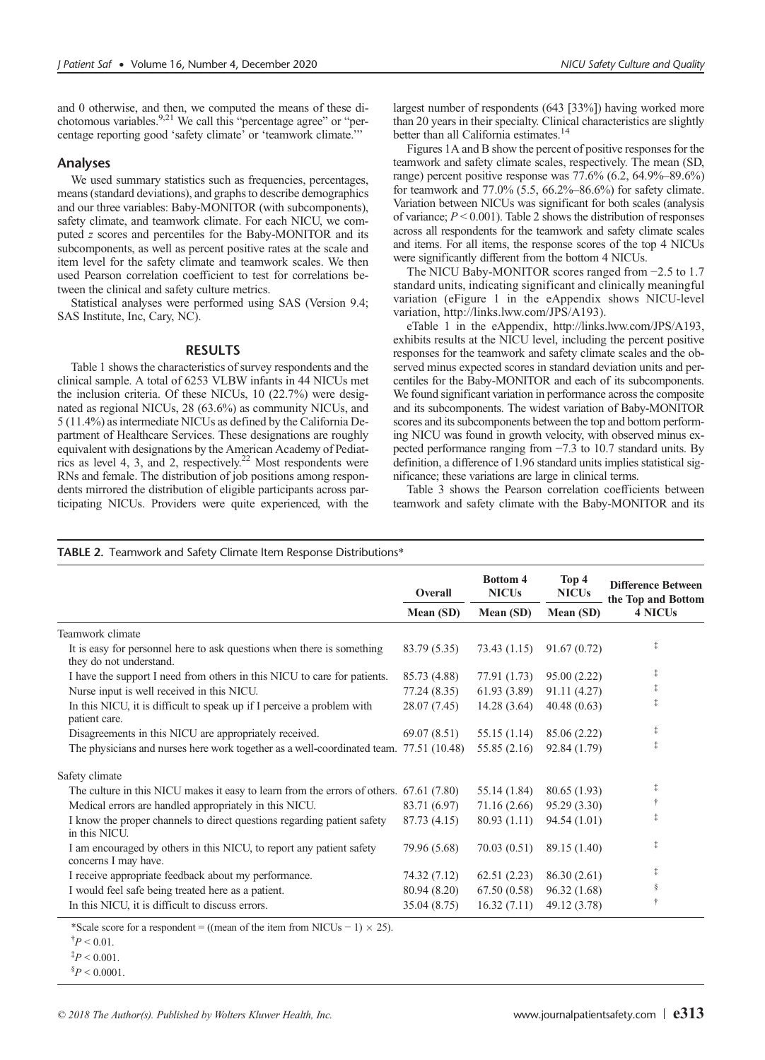and 0 otherwise, and then, we computed the means of these dichotomous variables.9,21 We call this "percentage agree" or "percentage reporting good 'safety climate' or 'teamwork climate.'"

We used summary statistics such as frequencies, percentages, means (standard deviations), and graphs to describe demographics and our three variables: Baby-MONITOR (with subcomponents), safety climate, and teamwork climate. For each NICU, we computed z scores and percentiles for the Baby-MONITOR and its subcomponents, as well as percent positive rates at the scale and item level for the safety climate and teamwork scales. We then used Pearson correlation coefficient to test for correlations between the clinical and safety culture metrics.

Statistical analyses were performed using SAS (Version 9.4; SAS Institute, Inc, Cary, NC).

### **RESULTS**

Table 1 shows the characteristics of survey respondents and the clinical sample. A total of 6253 VLBW infants in 44 NICUs met the inclusion criteria. Of these NICUs, 10 (22.7%) were designated as regional NICUs, 28 (63.6%) as community NICUs, and 5 (11.4%) as intermediate NICUs as defined by the California Department of Healthcare Services. These designations are roughly equivalent with designations by the American Academy of Pediatrics as level 4, 3, and 2, respectively.<sup>22</sup> Most respondents were RNs and female. The distribution of job positions among respondents mirrored the distribution of eligible participants across participating NICUs. Providers were quite experienced, with the largest number of respondents (643 [33%]) having worked more than 20 years in their specialty. Clinical characteristics are slightly better than all California estimates.<sup>14</sup>

Figures 1A and B show the percent of positive responses for the teamwork and safety climate scales, respectively. The mean (SD, range) percent positive response was 77.6% (6.2, 64.9%–89.6%) for teamwork and 77.0% (5.5, 66.2%–86.6%) for safety climate. Variation between NICUs was significant for both scales (analysis of variance;  $P \le 0.001$ ). Table 2 shows the distribution of responses across all respondents for the teamwork and safety climate scales and items. For all items, the response scores of the top 4 NICUs were significantly different from the bottom 4 NICUs.

The NICU Baby-MONITOR scores ranged from −2.5 to 1.7 standard units, indicating significant and clinically meaningful variation (eFigure 1 in the eAppendix shows NICU-level variation,<http://links.lww.com/JPS/A193>).

eTable 1 in the eAppendix, [http://links.lww.com/JPS/A193,](http://links.lww.com/JPS/A193) exhibits results at the NICU level, including the percent positive responses for the teamwork and safety climate scales and the observed minus expected scores in standard deviation units and percentiles for the Baby-MONITOR and each of its subcomponents. We found significant variation in performance across the composite and its subcomponents. The widest variation of Baby-MONITOR scores and its subcomponents between the top and bottom performing NICU was found in growth velocity, with observed minus expected performance ranging from −7.3 to 10.7 standard units. By definition, a difference of 1.96 standard units implies statistical significance; these variations are large in clinical terms.

Table 3 shows the Pearson correlation coefficients between teamwork and safety climate with the Baby-MONITOR and its

### TABLE 2. Teamwork and Safety Climate Item Response Distributions\*

|                                                                                                   | <b>Overall</b> | <b>Bottom 4</b><br><b>NICUs</b> |              | <b>Difference Between</b><br>the Top and Bottom |  |
|---------------------------------------------------------------------------------------------------|----------------|---------------------------------|--------------|-------------------------------------------------|--|
|                                                                                                   | Mean (SD)      | Mean (SD)                       | Mean (SD)    | <b>4 NICUs</b>                                  |  |
| Teamwork climate                                                                                  |                |                                 |              |                                                 |  |
| It is easy for personnel here to ask questions when there is something<br>they do not understand. | 83.79 (5.35)   | 73.43 (1.15)                    | 91.67(0.72)  | $\ddagger$                                      |  |
| I have the support I need from others in this NICU to care for patients.                          | 85.73 (4.88)   | 77.91 (1.73)                    | 95.00 (2.22) | ţ                                               |  |
| Nurse input is well received in this NICU.                                                        | 77.24 (8.35)   | 61.93(3.89)                     | 91.11 (4.27) | $\ddagger$                                      |  |
| In this NICU, it is difficult to speak up if I perceive a problem with<br>patient care.           | 28.07 (7.45)   | 14.28 (3.64)                    | 40.48(0.63)  | $\ddagger$                                      |  |
| Disagreements in this NICU are appropriately received.                                            | 69.07(8.51)    | 55.15(1.14)                     | 85.06 (2.22) | $\ddagger$                                      |  |
| The physicians and nurses here work together as a well-coordinated team. 77.51 (10.48)            |                | 55.85 (2.16)                    | 92.84 (1.79) | $\ddagger$                                      |  |
| Safety climate                                                                                    |                |                                 |              |                                                 |  |
| The culture in this NICU makes it easy to learn from the errors of others. 67.61 (7.80)           |                | 55.14 (1.84)                    | 80.65 (1.93) | $\ddagger$                                      |  |
| Medical errors are handled appropriately in this NICU.                                            | 83.71 (6.97)   | 71.16 (2.66)                    | 95.29 (3.30) |                                                 |  |
| I know the proper channels to direct questions regarding patient safety<br>in this NICU.          | 87.73 (4.15)   | 80.93(1.11)                     | 94.54 (1.01) | $\ddagger$                                      |  |
| I am encouraged by others in this NICU, to report any patient safety<br>concerns I may have.      | 79.96 (5.68)   | 70.03(0.51)                     | 89.15 (1.40) | $\ddagger$                                      |  |
| I receive appropriate feedback about my performance.                                              | 74.32 (7.12)   | 62.51(2.23)                     | 86.30 (2.61) | $\ddagger$                                      |  |
| I would feel safe being treated here as a patient.                                                | 80.94 (8.20)   | 67.50 (0.58)                    | 96.32 (1.68) | ş                                               |  |
| In this NICU, it is difficult to discuss errors.                                                  | 35.04 (8.75)   | 16.32(7.11)                     | 49.12 (3.78) |                                                 |  |

\*Scale score for a respondent = ((mean of the item from NICUs – 1)  $\times$  25).

 $\dagger P < 0.01$ .

 $\frac{1}{4}P < 0.001$ .

 $\frac{8}{9}P < 0.0001$ .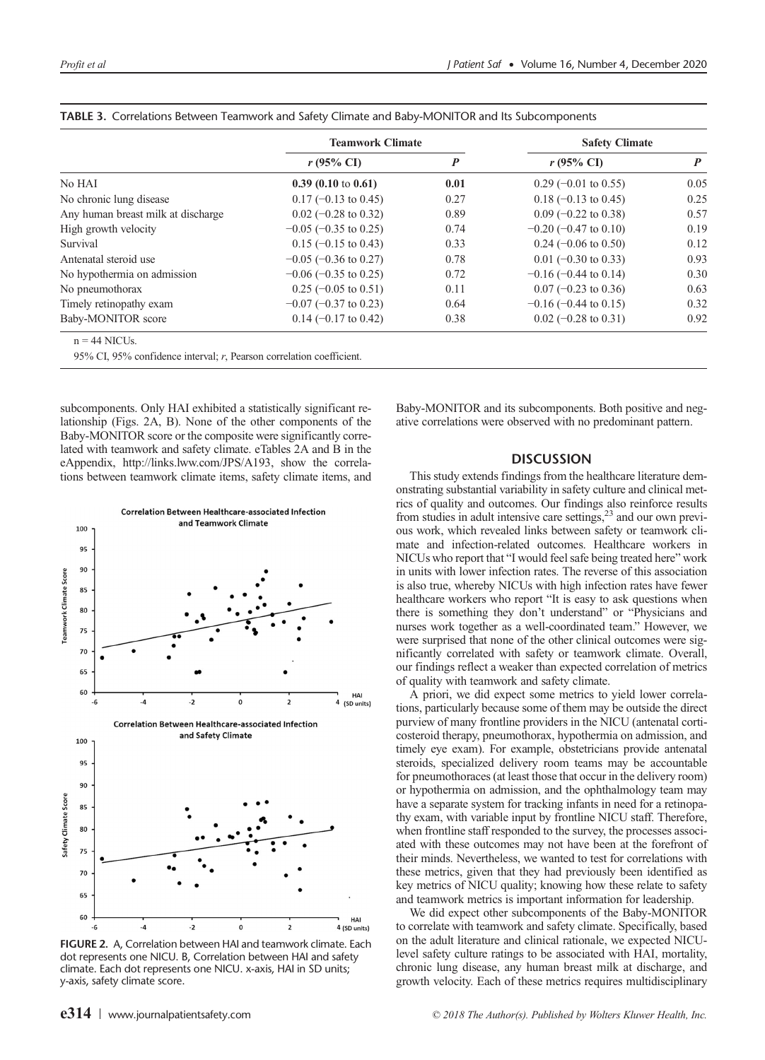|                                    | <b>Teamwork Climate</b>       |                  | <b>Safety Climate</b>           |      |  |
|------------------------------------|-------------------------------|------------------|---------------------------------|------|--|
|                                    | $r(95\% \text{ CI})$          | $\boldsymbol{P}$ | $r(95\% \text{ CI})$            | P    |  |
| No HAI                             | $0.39(0.10 \text{ to } 0.61)$ | 0.01             | $0.29$ (-0.01 to 0.55)          | 0.05 |  |
| No chronic lung disease            | $0.17$ (-0.13 to 0.45)        | 0.27             | $0.18 (-0.13 \text{ to } 0.45)$ | 0.25 |  |
| Any human breast milk at discharge | $0.02$ (-0.28 to 0.32)        | 0.89             | $0.09$ (-0.22 to 0.38)          | 0.57 |  |
| High growth velocity               | $-0.05$ ( $-0.35$ to 0.25)    | 0.74             | $-0.20$ ( $-0.47$ to 0.10)      | 0.19 |  |
| Survival                           | $0.15$ (-0.15 to 0.43)        | 0.33             | $0.24$ (-0.06 to 0.50)          | 0.12 |  |
| Antenatal steroid use              | $-0.05$ ( $-0.36$ to 0.27)    | 0.78             | $0.01$ (-0.30 to 0.33)          | 0.93 |  |
| No hypothermia on admission        | $-0.06$ ( $-0.35$ to 0.25)    | 0.72             | $-0.16$ ( $-0.44$ to 0.14)      | 0.30 |  |
| No pneumothorax                    | $0.25$ (-0.05 to 0.51)        | 0.11             | $0.07$ (-0.23 to 0.36)          | 0.63 |  |
| Timely retinopathy exam            | $-0.07$ ( $-0.37$ to 0.23)    | 0.64             | $-0.16$ ( $-0.44$ to 0.15)      | 0.32 |  |
| Baby-MONITOR score                 | $0.14$ (-0.17 to 0.42)        | 0.38             | $0.02$ (-0.28 to 0.31)          | 0.92 |  |

| TABLE 3. Correlations Between Teamwork and Safety Climate and Baby-MONITOR and Its Subcomponents |  |  |  |
|--------------------------------------------------------------------------------------------------|--|--|--|
|                                                                                                  |  |  |  |

 $n = 44$  NICUs.

95% CI, 95% confidence interval; r, Pearson correlation coefficient.

subcomponents. Only HAI exhibited a statistically significant relationship (Figs. 2A, B). None of the other components of the Baby-MONITOR score or the composite were significantly correlated with teamwork and safety climate. eTables 2A and B in the eAppendix, [http://links.lww.com/JPS/A193,](http://links.lww.com/JPS/A193) show the correlations between teamwork climate items, safety climate items, and



FIGURE 2. A, Correlation between HAI and teamwork climate. Each dot represents one NICU. B, Correlation between HAI and safety climate. Each dot represents one NICU. x-axis, HAI in SD units; y-axis, safety climate score.

Baby-MONITOR and its subcomponents. Both positive and negative correlations were observed with no predominant pattern.

This study extends findings from the healthcare literature demonstrating substantial variability in safety culture and clinical metrics of quality and outcomes. Our findings also reinforce results from studies in adult intensive care settings,<sup>23</sup> and our own previous work, which revealed links between safety or teamwork climate and infection-related outcomes. Healthcare workers in NICUs who report that "I would feel safe being treated here" work in units with lower infection rates. The reverse of this association is also true, whereby NICUs with high infection rates have fewer healthcare workers who report "It is easy to ask questions when there is something they don't understand" or "Physicians and nurses work together as a well-coordinated team." However, we were surprised that none of the other clinical outcomes were significantly correlated with safety or teamwork climate. Overall, our findings reflect a weaker than expected correlation of metrics of quality with teamwork and safety climate.

A priori, we did expect some metrics to yield lower correlations, particularly because some of them may be outside the direct purview of many frontline providers in the NICU (antenatal corticosteroid therapy, pneumothorax, hypothermia on admission, and timely eye exam). For example, obstetricians provide antenatal steroids, specialized delivery room teams may be accountable for pneumothoraces (at least those that occur in the delivery room) or hypothermia on admission, and the ophthalmology team may have a separate system for tracking infants in need for a retinopathy exam, with variable input by frontline NICU staff. Therefore, when frontline staff responded to the survey, the processes associated with these outcomes may not have been at the forefront of their minds. Nevertheless, we wanted to test for correlations with these metrics, given that they had previously been identified as key metrics of NICU quality; knowing how these relate to safety and teamwork metrics is important information for leadership.

We did expect other subcomponents of the Baby-MONITOR to correlate with teamwork and safety climate. Specifically, based on the adult literature and clinical rationale, we expected NICUlevel safety culture ratings to be associated with HAI, mortality, chronic lung disease, any human breast milk at discharge, and growth velocity. Each of these metrics requires multidisciplinary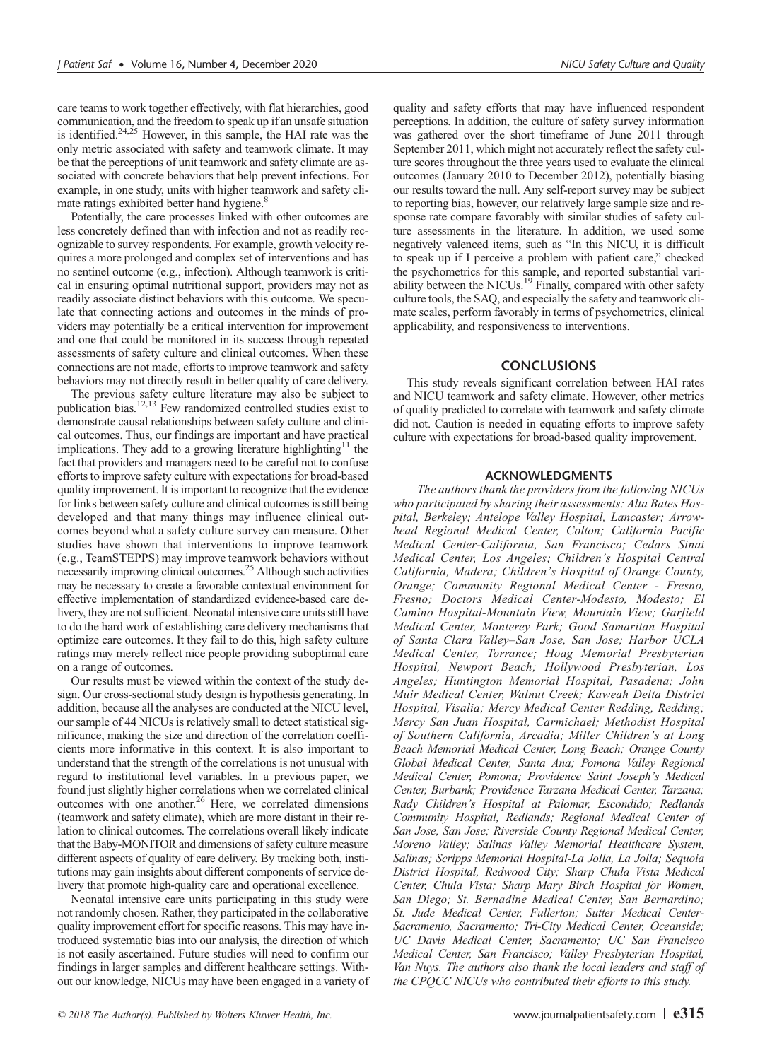care teams to work together effectively, with flat hierarchies, good communication, and the freedom to speak up if an unsafe situation is identified.<sup>24,25</sup> However, in this sample, the HAI rate was the only metric associated with safety and teamwork climate. It may be that the perceptions of unit teamwork and safety climate are associated with concrete behaviors that help prevent infections. For example, in one study, units with higher teamwork and safety climate ratings exhibited better hand hygiene.<sup>8</sup>

Potentially, the care processes linked with other outcomes are less concretely defined than with infection and not as readily recognizable to survey respondents. For example, growth velocity requires a more prolonged and complex set of interventions and has no sentinel outcome (e.g., infection). Although teamwork is critical in ensuring optimal nutritional support, providers may not as readily associate distinct behaviors with this outcome. We speculate that connecting actions and outcomes in the minds of providers may potentially be a critical intervention for improvement and one that could be monitored in its success through repeated assessments of safety culture and clinical outcomes. When these connections are not made, efforts to improve teamwork and safety behaviors may not directly result in better quality of care delivery.

The previous safety culture literature may also be subject to publication bias.12,13 Few randomized controlled studies exist to demonstrate causal relationships between safety culture and clinical outcomes. Thus, our findings are important and have practical implications. They add to a growing literature highlighting<sup>11</sup> the fact that providers and managers need to be careful not to confuse efforts to improve safety culture with expectations for broad-based quality improvement. It is important to recognize that the evidence for links between safety culture and clinical outcomes is still being developed and that many things may influence clinical outcomes beyond what a safety culture survey can measure. Other studies have shown that interventions to improve teamwork (e.g., TeamSTEPPS) may improve teamwork behaviors without necessarily improving clinical outcomes.<sup>25</sup> Although such activities may be necessary to create a favorable contextual environment for effective implementation of standardized evidence-based care delivery, they are not sufficient. Neonatal intensive care units still have to do the hard work of establishing care delivery mechanisms that optimize care outcomes. It they fail to do this, high safety culture ratings may merely reflect nice people providing suboptimal care on a range of outcomes.

Our results must be viewed within the context of the study design. Our cross-sectional study design is hypothesis generating. In addition, because all the analyses are conducted at the NICU level, our sample of 44 NICUs is relatively small to detect statistical significance, making the size and direction of the correlation coefficients more informative in this context. It is also important to understand that the strength of the correlations is not unusual with regard to institutional level variables. In a previous paper, we found just slightly higher correlations when we correlated clinical outcomes with one another.<sup>26</sup> Here, we correlated dimensions (teamwork and safety climate), which are more distant in their relation to clinical outcomes. The correlations overall likely indicate that the Baby-MONITOR and dimensions of safety culture measure different aspects of quality of care delivery. By tracking both, institutions may gain insights about different components of service delivery that promote high-quality care and operational excellence.

Neonatal intensive care units participating in this study were not randomly chosen. Rather, they participated in the collaborative quality improvement effort for specific reasons. This may have introduced systematic bias into our analysis, the direction of which is not easily ascertained. Future studies will need to confirm our findings in larger samples and different healthcare settings. Without our knowledge, NICUs may have been engaged in a variety of quality and safety efforts that may have influenced respondent perceptions. In addition, the culture of safety survey information was gathered over the short timeframe of June 2011 through September 2011, which might not accurately reflect the safety culture scores throughout the three years used to evaluate the clinical outcomes (January 2010 to December 2012), potentially biasing our results toward the null. Any self-report survey may be subject to reporting bias, however, our relatively large sample size and response rate compare favorably with similar studies of safety culture assessments in the literature. In addition, we used some negatively valenced items, such as "In this NICU, it is difficult to speak up if I perceive a problem with patient care," checked the psychometrics for this sample, and reported substantial variability between the NICUs.<sup>19</sup> Finally, compared with other safety culture tools, the SAQ, and especially the safety and teamwork climate scales, perform favorably in terms of psychometrics, clinical applicability, and responsiveness to interventions.

This study reveals significant correlation between HAI rates and NICU teamwork and safety climate. However, other metrics of quality predicted to correlate with teamwork and safety climate did not. Caution is needed in equating efforts to improve safety culture with expectations for broad-based quality improvement.

The authors thank the providers from the following NICUs who participated by sharing their assessments: Alta Bates Hospital, Berkeley; Antelope Valley Hospital, Lancaster; Arrowhead Regional Medical Center, Colton; California Pacific Medical Center-California, San Francisco; Cedars Sinai Medical Center, Los Angeles; Children's Hospital Central California, Madera; Children's Hospital of Orange County, Orange; Community Regional Medical Center - Fresno, Fresno; Doctors Medical Center-Modesto, Modesto; El Camino Hospital-Mountain View, Mountain View; Garfield Medical Center, Monterey Park; Good Samaritan Hospital of Santa Clara Valley–San Jose, San Jose; Harbor UCLA Medical Center, Torrance; Hoag Memorial Presbyterian Hospital, Newport Beach; Hollywood Presbyterian, Los Angeles; Huntington Memorial Hospital, Pasadena; John Muir Medical Center, Walnut Creek; Kaweah Delta District Hospital, Visalia; Mercy Medical Center Redding, Redding; Mercy San Juan Hospital, Carmichael; Methodist Hospital of Southern California, Arcadia; Miller Children's at Long Beach Memorial Medical Center, Long Beach; Orange County Global Medical Center, Santa Ana; Pomona Valley Regional Medical Center, Pomona; Providence Saint Joseph's Medical Center, Burbank; Providence Tarzana Medical Center, Tarzana; Rady Children's Hospital at Palomar, Escondido; Redlands Community Hospital, Redlands; Regional Medical Center of San Jose, San Jose; Riverside County Regional Medical Center, Moreno Valley; Salinas Valley Memorial Healthcare System, Salinas; Scripps Memorial Hospital-La Jolla, La Jolla; Sequoia District Hospital, Redwood City; Sharp Chula Vista Medical Center, Chula Vista; Sharp Mary Birch Hospital for Women, San Diego; St. Bernadine Medical Center, San Bernardino; St. Jude Medical Center, Fullerton; Sutter Medical Center-Sacramento, Sacramento; Tri-City Medical Center, Oceanside; UC Davis Medical Center, Sacramento; UC San Francisco Medical Center, San Francisco; Valley Presbyterian Hospital, Van Nuys. The authors also thank the local leaders and staff of the CPQCC NICUs who contributed their efforts to this study.